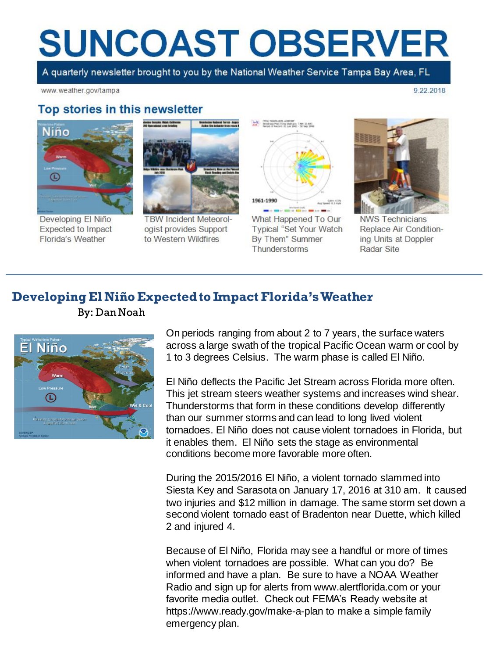# **SUNCOAST OBSERVER**

A quarterly newsletter brought to you by the National Weather Service Tampa Bay Area, FL

www.weather.gov/tampa

9.22.2018

#### Top stories in this newsletter



Developing El Niño Expected to Impact Florida's Weather



**TBW Incident Meteorol**ogist provides Support to Western Wildfires



What Happened To Our Typical "Set Your Watch By Them" Summer Thunderstorms



**NWS Technicians** Replace Air Conditioning Units at Doppler **Radar Site** 

#### **Developing El Niño Expected to Impact Florida's Weather**

By: Dan Noah



On periods ranging from about 2 to 7 years, the surface waters across a large swath of the tropical Pacific Ocean warm or cool by 1 to 3 degrees Celsius. The warm phase is called El Niño.

El Niño deflects the Pacific Jet Stream across Florida more often. This jet stream steers weather systems and increases wind shear. Thunderstorms that form in these conditions develop differently than our summer storms and can lead to long lived violent tornadoes. El Niño does not cause violent tornadoes in Florida, but it enables them. El Niño sets the stage as environmental conditions become more favorable more often.

During the 2015/2016 El Niño, a violent tornado slammed into Siesta Key and Sarasota on January 17, 2016 at 310 am. It caused two injuries and \$12 million in damage. The same storm set down a second violent tornado east of Bradenton near Duette, which killed 2 and injured 4.

Because of El Niño, Florida may see a handful or more of times when violent tornadoes are possible. What can you do? Be informed and have a plan. Be sure to have a NOAA Weather Radio and sign up for alerts from www.alertflorida.com or your favorite media outlet. Check out FEMA's Ready website at https://www.ready.gov/make-a-plan to make a simple family emergency plan.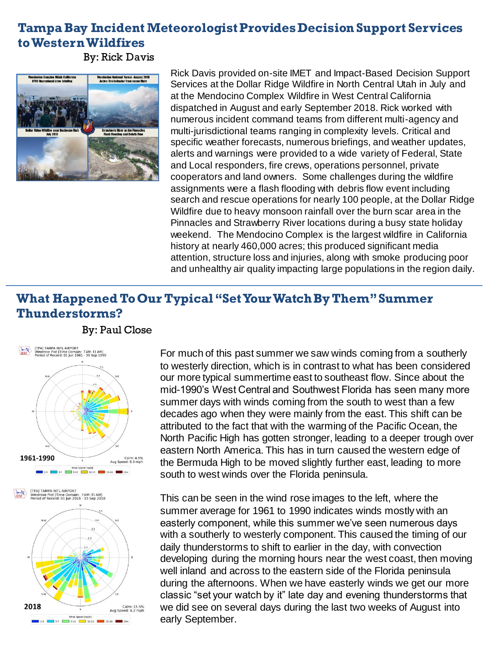### **Tampa Bay Incident Meteorologist Provides Decision Support Services to Western Wildfires**

By: Rick Davis

By: Paul Close



Rick Davis provided on-site IMET and Impact-Based Decision Support Services at the Dollar Ridge Wildfire in North Central Utah in July and at the Mendocino Complex Wildfire in West Central California dispatched in August and early September 2018. Rick worked with numerous incident command teams from different multi-agency and multi-jurisdictional teams ranging in complexity levels. Critical and specific weather forecasts, numerous briefings, and weather updates, alerts and warnings were provided to a wide variety of Federal, State and Local responders, fire crews, operations personnel, private cooperators and land owners. Some challenges during the wildfire assignments were a flash flooding with debris flow event including search and rescue operations for nearly 100 people, at the Dollar Ridge Wildfire due to heavy monsoon rainfall over the burn scar area in the Pinnacles and Strawberry River locations during a busy state holiday weekend. The Mendocino Complex is the largest wildfire in California history at nearly 460,000 acres; this produced significant media attention, structure loss and injuries, along with smoke producing poor and unhealthy air quality impacting large populations in the region daily.

## **What Happened To Our Typical "Set Your Watch By Them" Summer Thunderstorms?**



For much of this past summer we saw winds coming from a southerly to westerly direction, which is in contrast to what has been considered our more typical summertime east to southeast flow. Since about the mid-1990's West Central and Southwest Florida has seen many more summer days with winds coming from the south to west than a few decades ago when they were mainly from the east. This shift can be attributed to the fact that with the warming of the Pacific Ocean, the North Pacific High has gotten stronger, leading to a deeper trough over eastern North America. This has in turn caused the western edge of the Bermuda High to be moved slightly further east, leading to more south to west winds over the Florida peninsula.

This can be seen in the wind rose images to the left, where the summer average for 1961 to 1990 indicates winds mostly with an easterly component, while this summer we've seen numerous days with a southerly to westerly component. This caused the timing of our daily thunderstorms to shift to earlier in the day, with convection developing during the morning hours near the west coast, then moving well inland and across to the eastern side of the Florida peninsula during the afternoons. When we have easterly winds we get our more classic "set your watch by it" late day and evening thunderstorms that we did see on several days during the last two weeks of August into early September.